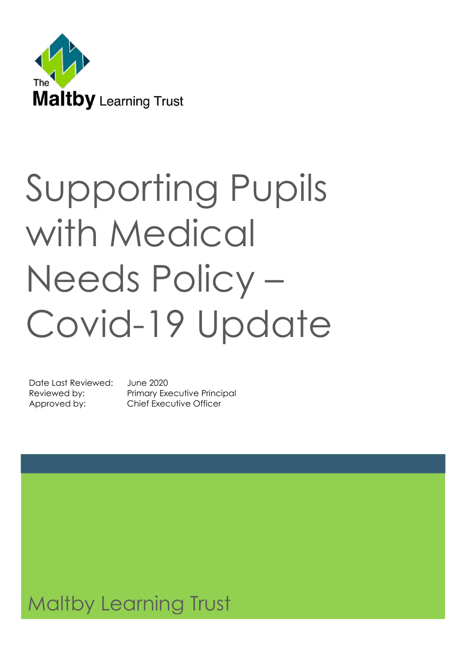

# Supporting Pupils with Medical Needs Policy – Covid-19 Update

Date Last Reviewed: June 2020

Reviewed by: Primary Executive Principal Approved by: Chief Executive Officer

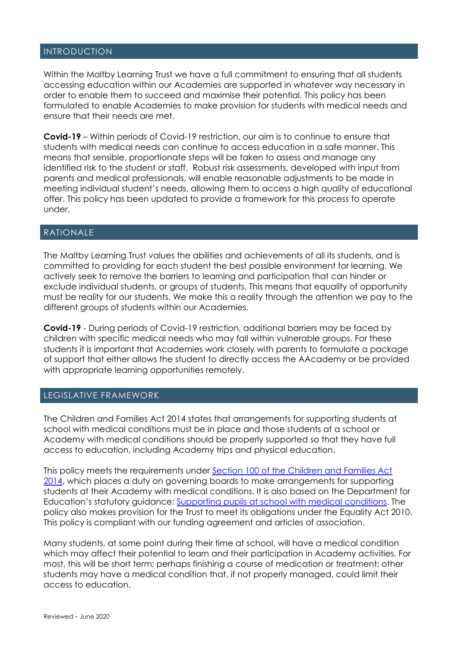#### INTRODUCTION

Within the Maltby Learning Trust we have a full commitment to ensuring that all students accessing education within our Academies are supported in whatever way necessary in order to enable them to succeed and maximise their potential. This policy has been formulated to enable Academies to make provision for students with medical needs and ensure that their needs are met.

**Covid-19** – Within periods of Covid-19 restriction, our aim is to continue to ensure that students with medical needs can continue to access education in a safe manner. This means that sensible, proportionate steps will be taken to assess and manage any identified risk to the student or staff. Robust risk assessments, developed with input from parents and medical professionals, will enable reasonable adjustments to be made in meeting individual student's needs, allowing them to access a high quality of educational offer. This policy has been updated to provide a framework for this process to operate under.

#### RATIONALE

The Maltby Learning Trust values the abilities and achievements of all its students, and is committed to providing for each student the best possible environment for learning. We actively seek to remove the barriers to learning and participation that can hinder or exclude individual students, or groups of students. This means that equality of opportunity must be reality for our students. We make this a reality through the attention we pay to the different groups of students within our Academies.

**Covid-19** - During periods of Covid-19 restriction, additional barriers may be faced by children with specific medical needs who may fall within vulnerable groups. For these students it is important that Academies work closely with parents to formulate a package of support that either allows the student to directly access the AAcademy or be provided with appropriate learning opportunities remotely.

#### LEGISLATIVE FRAMEWORK

The Children and Families Act 2014 states that arrangements for supporting students at school with medical conditions must be in place and those students at a school or Academy with medical conditions should be properly supported so that they have full access to education, including Academy trips and physical education.

This policy meets the requirements under [Section 100 of the Children and Families Act](about:blank)  [2014,](about:blank) which places a duty on governing boards to make arrangements for supporting students at their Academy with medical conditions. It is also based on the Department for Education's statutory guidance: [Supporting pupils at school with medical conditions.](about:blank) The policy also makes provision for the Trust to meet its obligations under the Equality Act 2010. This policy is compliant with our funding agreement and articles of association.

Many students, at some point during their time at school, will have a medical condition which may affect their potential to learn and their participation in Academy activities. For most, this will be short term; perhaps finishing a course of medication or treatment; other students may have a medical condition that, if not properly managed, could limit their access to education.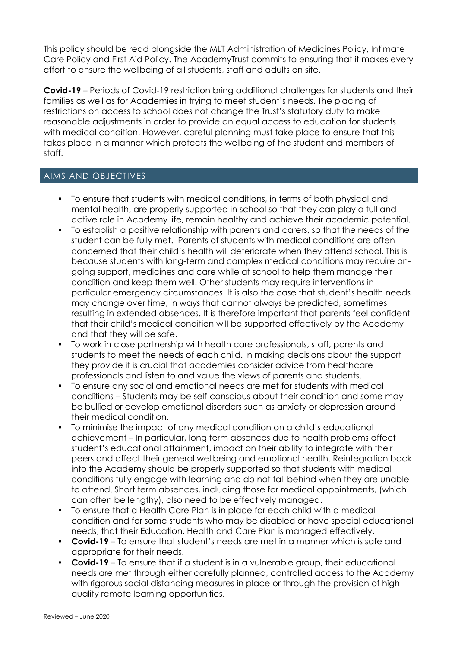This policy should be read alongside the MLT Administration of Medicines Policy, Intimate Care Policy and First Aid Policy. The AcademyTrust commits to ensuring that it makes every effort to ensure the wellbeing of all students, staff and adults on site.

**Covid-19** – Periods of Covid-19 restriction bring additional challenges for students and their families as well as for Academies in trying to meet student's needs. The placing of restrictions on access to school does not change the Trust's statutory duty to make reasonable adjustments in order to provide an equal access to education for students with medical condition. However, careful planning must take place to ensure that this takes place in a manner which protects the wellbeing of the student and members of staff.

#### AIMS AND OBJECTIVES

- To ensure that students with medical conditions, in terms of both physical and mental health, are properly supported in school so that they can play a full and active role in Academy life, remain healthy and achieve their academic potential.
- To establish a positive relationship with parents and carers, so that the needs of the student can be fully met. Parents of students with medical conditions are often concerned that their child's health will deteriorate when they attend school. This is because students with long-term and complex medical conditions may require ongoing support, medicines and care while at school to help them manage their condition and keep them well. Other students may require interventions in particular emergency circumstances. It is also the case that student's health needs may change over time, in ways that cannot always be predicted, sometimes resulting in extended absences. It is therefore important that parents feel confident that their child's medical condition will be supported effectively by the Academy and that they will be safe.
- To work in close partnership with health care professionals, staff, parents and students to meet the needs of each child. In making decisions about the support they provide it is crucial that academies consider advice from healthcare professionals and listen to and value the views of parents and students.
- To ensure any social and emotional needs are met for students with medical conditions – Students may be self-conscious about their condition and some may be bullied or develop emotional disorders such as anxiety or depression around their medical condition.
- To minimise the impact of any medical condition on a child's educational achievement – In particular, long term absences due to health problems affect student's educational attainment, impact on their ability to integrate with their peers and affect their general wellbeing and emotional health. Reintegration back into the Academy should be properly supported so that students with medical conditions fully engage with learning and do not fall behind when they are unable to attend. Short term absences, including those for medical appointments, (which can often be lengthy), also need to be effectively managed.
- To ensure that a Health Care Plan is in place for each child with a medical condition and for some students who may be disabled or have special educational needs, that their Education, Health and Care Plan is managed effectively.
- **Covid-19** To ensure that student's needs are met in a manner which is safe and appropriate for their needs.
- **Covid-19** To ensure that if a student is in a vulnerable group, their educational needs are met through either carefully planned, controlled access to the Academy with rigorous social distancing measures in place or through the provision of high quality remote learning opportunities.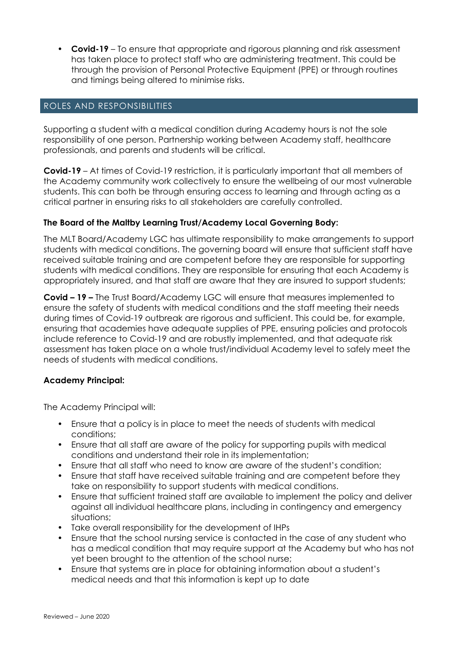• **Covid-19** – To ensure that appropriate and rigorous planning and risk assessment has taken place to protect staff who are administering treatment. This could be through the provision of Personal Protective Equipment (PPE) or through routines and timings being altered to minimise risks.

#### ROLES AND RESPONSIBILITIES

Supporting a student with a medical condition during Academy hours is not the sole responsibility of one person. Partnership working between Academy staff, healthcare professionals, and parents and students will be critical.

**Covid-19** – At times of Covid-19 restriction, it is particularly important that all members of the Academy community work collectively to ensure the wellbeing of our most vulnerable students. This can both be through ensuring access to learning and through acting as a critical partner in ensuring risks to all stakeholders are carefully controlled.

#### **The Board of the Maltby Learning Trust/Academy Local Governing Body:**

The MLT Board/Academy LGC has ultimate responsibility to make arrangements to support students with medical conditions. The governing board will ensure that sufficient staff have received suitable training and are competent before they are responsible for supporting students with medical conditions. They are responsible for ensuring that each Academy is appropriately insured, and that staff are aware that they are insured to support students;

**Covid – 19 –** The Trust Board/Academy LGC will ensure that measures implemented to ensure the safety of students with medical conditions and the staff meeting their needs during times of Covid-19 outbreak are rigorous and sufficient. This could be, for example, ensuring that academies have adequate supplies of PPE, ensuring policies and protocols include reference to Covid-19 and are robustly implemented, and that adequate risk assessment has taken place on a whole trust/individual Academy level to safely meet the needs of students with medical conditions.

#### **Academy Principal:**

The Academy Principal will:

- Ensure that a policy is in place to meet the needs of students with medical conditions;
- Ensure that all staff are aware of the policy for supporting pupils with medical conditions and understand their role in its implementation;
- Ensure that all staff who need to know are aware of the student's condition;
- Ensure that staff have received suitable training and are competent before they take on responsibility to support students with medical conditions.
- Ensure that sufficient trained staff are available to implement the policy and deliver against all individual healthcare plans, including in contingency and emergency situations;
- Take overall responsibility for the development of IHPs
- Ensure that the school nursing service is contacted in the case of any student who has a medical condition that may require support at the Academy but who has not yet been brought to the attention of the school nurse;
- Ensure that systems are in place for obtaining information about a student's medical needs and that this information is kept up to date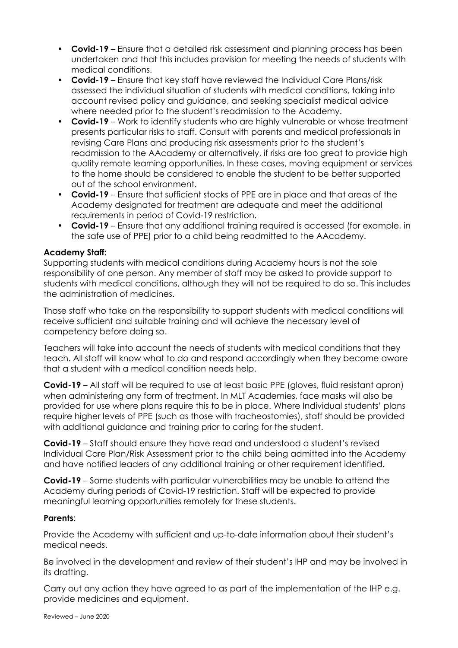- **Covid-19** Ensure that a detailed risk assessment and planning process has been undertaken and that this includes provision for meeting the needs of students with medical conditions.
- **Covid-19** Ensure that key staff have reviewed the Individual Care Plans/risk assessed the individual situation of students with medical conditions, taking into account revised policy and guidance, and seeking specialist medical advice where needed prior to the student's readmission to the Academy.
- **Covid-19** Work to identify students who are highly vulnerable or whose treatment presents particular risks to staff. Consult with parents and medical professionals in revising Care Plans and producing risk assessments prior to the student's readmission to the AAcademy or alternatively, if risks are too great to provide high quality remote learning opportunities. In these cases, moving equipment or services to the home should be considered to enable the student to be better supported out of the school environment.
- **Covid-19** Ensure that sufficient stocks of PPE are in place and that areas of the Academy designated for treatment are adequate and meet the additional requirements in period of Covid-19 restriction.
- **Covid-19** Ensure that any additional training required is accessed (for example, in the safe use of PPE) prior to a child being readmitted to the AAcademy.

#### **Academy Staff:**

Supporting students with medical conditions during Academy hours is not the sole responsibility of one person. Any member of staff may be asked to provide support to students with medical conditions, although they will not be required to do so. This includes the administration of medicines.

Those staff who take on the responsibility to support students with medical conditions will receive sufficient and suitable training and will achieve the necessary level of competency before doing so.

Teachers will take into account the needs of students with medical conditions that they teach. All staff will know what to do and respond accordingly when they become aware that a student with a medical condition needs help.

**Covid-19** – All staff will be required to use at least basic PPE (gloves, fluid resistant apron) when administering any form of treatment. In MLT Academies, face masks will also be provided for use where plans require this to be in place. Where Individual students' plans require higher levels of PPE (such as those with tracheostomies), staff should be provided with additional quidance and training prior to caring for the student.

**Covid-19** – Staff should ensure they have read and understood a student's revised Individual Care Plan/Risk Assessment prior to the child being admitted into the Academy and have notified leaders of any additional training or other requirement identified.

**Covid-19** – Some students with particular vulnerabilities may be unable to attend the Academy during periods of Covid-19 restriction. Staff will be expected to provide meaningful learning opportunities remotely for these students.

#### **Parents**:

Provide the Academy with sufficient and up-to-date information about their student's medical needs.

Be involved in the development and review of their student's IHP and may be involved in its drafting.

Carry out any action they have agreed to as part of the implementation of the IHP e.g. provide medicines and equipment.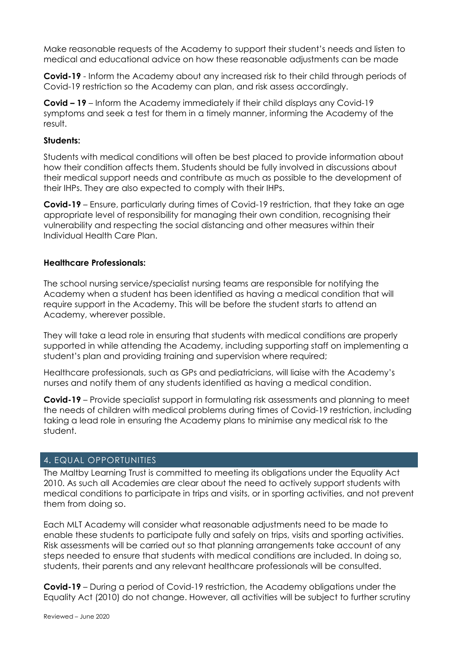Make reasonable requests of the Academy to support their student's needs and listen to medical and educational advice on how these reasonable adjustments can be made

**Covid-19** - Inform the Academy about any increased risk to their child through periods of Covid-19 restriction so the Academy can plan, and risk assess accordingly.

**Covid – 19** – Inform the Academy immediately if their child displays any Covid-19 symptoms and seek a test for them in a timely manner, informing the Academy of the result.

#### **Students:**

Students with medical conditions will often be best placed to provide information about how their condition affects them. Students should be fully involved in discussions about their medical support needs and contribute as much as possible to the development of their IHPs. They are also expected to comply with their IHPs.

**Covid-19** – Ensure, particularly during times of Covid-19 restriction, that they take an age appropriate level of responsibility for managing their own condition, recognising their vulnerability and respecting the social distancing and other measures within their Individual Health Care Plan.

#### **Healthcare Professionals:**

The school nursing service/specialist nursing teams are responsible for notifying the Academy when a student has been identified as having a medical condition that will require support in the Academy. This will be before the student starts to attend an Academy, wherever possible.

They will take a lead role in ensuring that students with medical conditions are properly supported in while attending the Academy, including supporting staff on implementing a student's plan and providing training and supervision where required;

Healthcare professionals, such as GPs and pediatricians, will liaise with the Academy's nurses and notify them of any students identified as having a medical condition.

**Covid-19** – Provide specialist support in formulating risk assessments and planning to meet the needs of children with medical problems during times of Covid-19 restriction, including taking a lead role in ensuring the Academy plans to minimise any medical risk to the student.

#### 4**.** EQUAL OPPORTUNITIES

The Maltby Learning Trust is committed to meeting its obligations under the Equality Act 2010. As such all Academies are clear about the need to actively support students with medical conditions to participate in trips and visits, or in sporting activities, and not prevent them from doing so.

Each MLT Academy will consider what reasonable adjustments need to be made to enable these students to participate fully and safely on trips, visits and sporting activities. Risk assessments will be carried out so that planning arrangements take account of any steps needed to ensure that students with medical conditions are included. In doing so, students, their parents and any relevant healthcare professionals will be consulted.

**Covid-19** – During a period of Covid-19 restriction, the Academy obligations under the Equality Act (2010) do not change. However, all activities will be subject to further scrutiny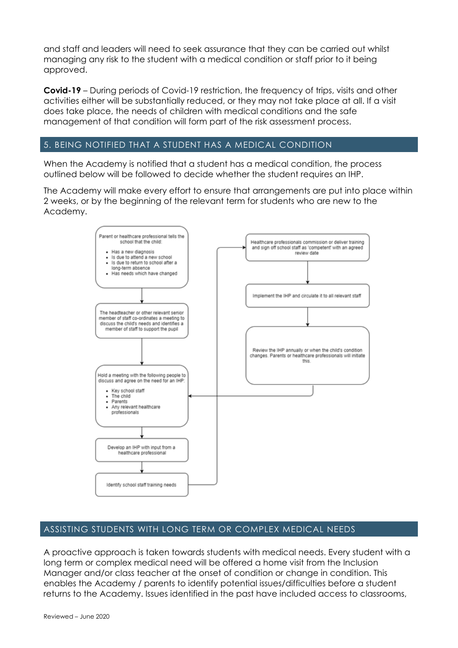and staff and leaders will need to seek assurance that they can be carried out whilst managing any risk to the student with a medical condition or staff prior to it being approved.

**Covid-19** – During periods of Covid-19 restriction, the frequency of trips, visits and other activities either will be substantially reduced, or they may not take place at all. If a visit does take place, the needs of children with medical conditions and the safe management of that condition will form part of the risk assessment process.

#### 5. BEING NOTIFIED THAT A STUDENT HAS A MEDICAL CONDITION

When the Academy is notified that a student has a medical condition, the process outlined below will be followed to decide whether the student requires an IHP.

The Academy will make every effort to ensure that arrangements are put into place within 2 weeks, or by the beginning of the relevant term for students who are new to the Academy.



#### ASSISTING STUDENTS WITH LONG TERM OR COMPLEX MEDICAL NEEDS

A proactive approach is taken towards students with medical needs. Every student with a long term or complex medical need will be offered a home visit from the Inclusion Manager and/or class teacher at the onset of condition or change in condition. This enables the Academy / parents to identify potential issues/difficulties before a student returns to the Academy. Issues identified in the past have included access to classrooms,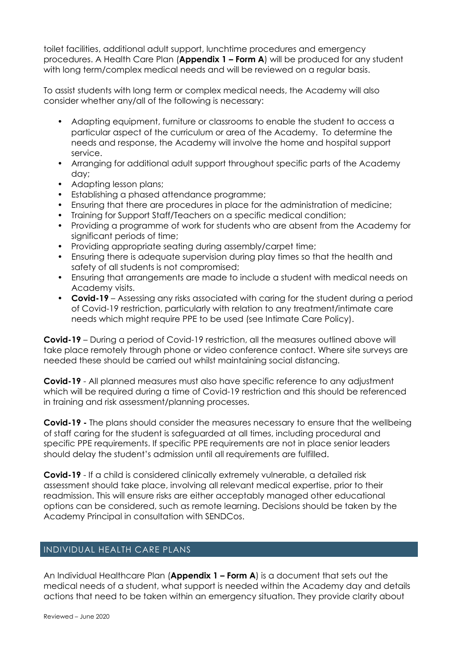toilet facilities, additional adult support, lunchtime procedures and emergency procedures. A Health Care Plan (**Appendix 1 – Form A**) will be produced for any student with long term/complex medical needs and will be reviewed on a regular basis.

To assist students with long term or complex medical needs, the Academy will also consider whether any/all of the following is necessary:

- Adapting equipment, furniture or classrooms to enable the student to access a particular aspect of the curriculum or area of the Academy. To determine the needs and response, the Academy will involve the home and hospital support service.
- Arranging for additional adult support throughout specific parts of the Academy day;
- Adapting lesson plans;
- Establishing a phased attendance programme;
- Ensuring that there are procedures in place for the administration of medicine;
- Training for Support Staff/Teachers on a specific medical condition;
- Providing a programme of work for students who are absent from the Academy for significant periods of time;
- Providing appropriate seating during assembly/carpet time;
- Ensuring there is adequate supervision during play times so that the health and safety of all students is not compromised;
- Ensuring that arrangements are made to include a student with medical needs on Academy visits.
- **Covid-19** Assessing any risks associated with caring for the student during a period of Covid-19 restriction, particularly with relation to any treatment/intimate care needs which might require PPE to be used (see Intimate Care Policy).

**Covid-19** – During a period of Covid-19 restriction, all the measures outlined above will take place remotely through phone or video conference contact. Where site surveys are needed these should be carried out whilst maintaining social distancing.

**Covid-19** - All planned measures must also have specific reference to any adjustment which will be required during a time of Covid-19 restriction and this should be referenced in training and risk assessment/planning processes.

**Covid-19 -** The plans should consider the measures necessary to ensure that the wellbeing of staff caring for the student is safeguarded at all times, including procedural and specific PPE requirements. If specific PPE requirements are not in place senior leaders should delay the student's admission until all requirements are fulfilled.

**Covid-19** - If a child is considered clinically extremely vulnerable, a detailed risk assessment should take place, involving all relevant medical expertise, prior to their readmission. This will ensure risks are either acceptably managed other educational options can be considered, such as remote learning. Decisions should be taken by the Academy Principal in consultation with SENDCos.

#### INDIVIDUAL HEALTH CARE PLANS

An Individual Healthcare Plan (**Appendix 1 – Form A**) is a document that sets out the medical needs of a student, what support is needed within the Academy day and details actions that need to be taken within an emergency situation. They provide clarity about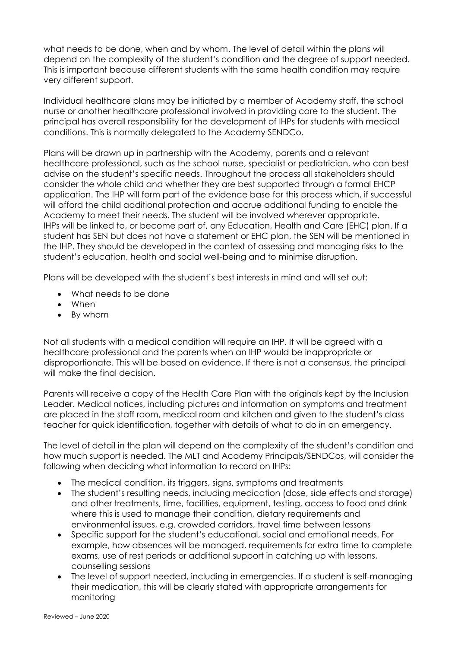what needs to be done, when and by whom. The level of detail within the plans will depend on the complexity of the student's condition and the degree of support needed. This is important because different students with the same health condition may require very different support.

Individual healthcare plans may be initiated by a member of Academy staff, the school nurse or another healthcare professional involved in providing care to the student. The principal has overall responsibility for the development of IHPs for students with medical conditions. This is normally delegated to the Academy SENDCo.

Plans will be drawn up in partnership with the Academy, parents and a relevant healthcare professional, such as the school nurse, specialist or pediatrician, who can best advise on the student's specific needs. Throughout the process all stakeholders should consider the whole child and whether they are best supported through a formal EHCP application. The IHP will form part of the evidence base for this process which, if successful will afford the child additional protection and accrue additional funding to enable the Academy to meet their needs. The student will be involved wherever appropriate. IHPs will be linked to, or become part of, any Education, Health and Care (EHC) plan. If a student has SEN but does not have a statement or EHC plan, the SEN will be mentioned in the IHP. They should be developed in the context of assessing and managing risks to the student's education, health and social well-being and to minimise disruption.

Plans will be developed with the student's best interests in mind and will set out:

- What needs to be done
- When
- By whom

Not all students with a medical condition will require an IHP. It will be agreed with a healthcare professional and the parents when an IHP would be inappropriate or disproportionate. This will be based on evidence. If there is not a consensus, the principal will make the final decision.

Parents will receive a copy of the Health Care Plan with the originals kept by the Inclusion Leader. Medical notices, including pictures and information on symptoms and treatment are placed in the staff room, medical room and kitchen and given to the student's class teacher for quick identification, together with details of what to do in an emergency.

The level of detail in the plan will depend on the complexity of the student's condition and how much support is needed. The MLT and Academy Principals/SENDCos, will consider the following when deciding what information to record on IHPs:

- The medical condition, its triggers, signs, symptoms and treatments
- The student's resulting needs, including medication (dose, side effects and storage) and other treatments, time, facilities, equipment, testing, access to food and drink where this is used to manage their condition, dietary requirements and environmental issues, e.g. crowded corridors, travel time between lessons
- Specific support for the student's educational, social and emotional needs. For example, how absences will be managed, requirements for extra time to complete exams, use of rest periods or additional support in catching up with lessons, counselling sessions
- The level of support needed, including in emergencies. If a student is self-managing their medication, this will be clearly stated with appropriate arrangements for monitoring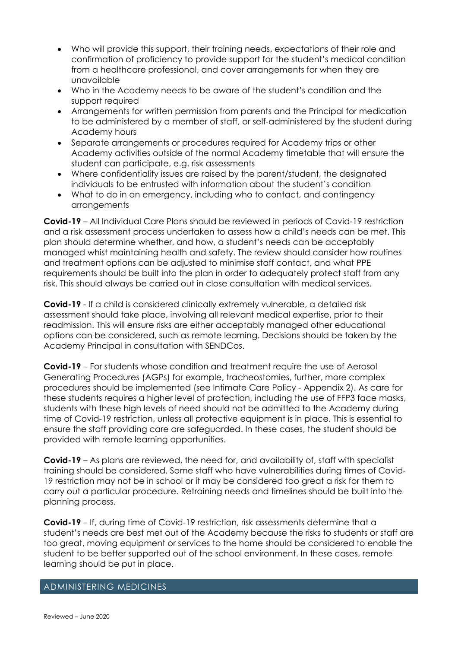- Who will provide this support, their training needs, expectations of their role and confirmation of proficiency to provide support for the student's medical condition from a healthcare professional, and cover arrangements for when they are unavailable
- Who in the Academy needs to be aware of the student's condition and the support required
- Arrangements for written permission from parents and the Principal for medication to be administered by a member of staff, or self-administered by the student during Academy hours
- Separate arrangements or procedures required for Academy trips or other Academy activities outside of the normal Academy timetable that will ensure the student can participate, e.g. risk assessments
- Where confidentiality issues are raised by the parent/student, the designated individuals to be entrusted with information about the student's condition
- What to do in an emergency, including who to contact, and contingency arrangements

**Covid-19** – All Individual Care Plans should be reviewed in periods of Covid-19 restriction and a risk assessment process undertaken to assess how a child's needs can be met. This plan should determine whether, and how, a student's needs can be acceptably managed whist maintaining health and safety. The review should consider how routines and treatment options can be adjusted to minimise staff contact, and what PPE requirements should be built into the plan in order to adequately protect staff from any risk. This should always be carried out in close consultation with medical services.

**Covid-19** - If a child is considered clinically extremely vulnerable, a detailed risk assessment should take place, involving all relevant medical expertise, prior to their readmission. This will ensure risks are either acceptably managed other educational options can be considered, such as remote learning. Decisions should be taken by the Academy Principal in consultation with SENDCos.

**Covid-19** – For students whose condition and treatment require the use of Aerosol Generating Procedures (AGPs) for example, tracheostomies, further, more complex procedures should be implemented (see Intimate Care Policy - Appendix 2). As care for these students requires a higher level of protection, including the use of FFP3 face masks, students with these high levels of need should not be admitted to the Academy during time of Covid-19 restriction, unless all protective equipment is in place. This is essential to ensure the staff providing care are safeguarded. In these cases, the student should be provided with remote learning opportunities.

**Covid-19** – As plans are reviewed, the need for, and availability of, staff with specialist training should be considered. Some staff who have vulnerabilities during times of Covid-19 restriction may not be in school or it may be considered too great a risk for them to carry out a particular procedure. Retraining needs and timelines should be built into the planning process.

**Covid-19** – If, during time of Covid-19 restriction, risk assessments determine that a student's needs are best met out of the Academy because the risks to students or staff are too great, moving equipment or services to the home should be considered to enable the student to be better supported out of the school environment. In these cases, remote learning should be put in place.

#### ADMINISTERING MEDICINES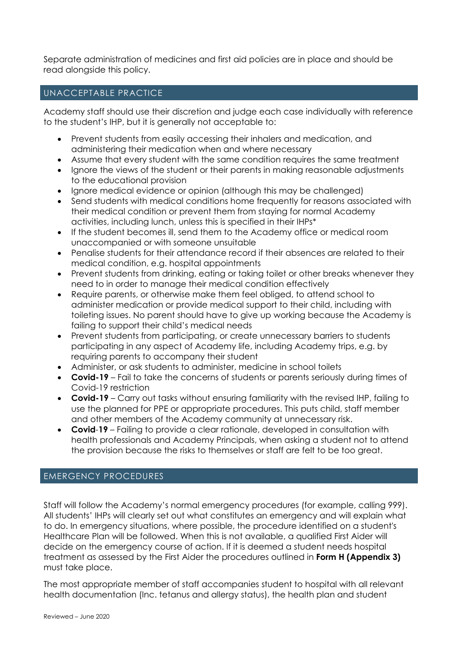Separate administration of medicines and first aid policies are in place and should be read alongside this policy.

#### UNACCEPTABLE PRACTICE

Academy staff should use their discretion and judge each case individually with reference to the student's IHP, but it is generally not acceptable to:

- Prevent students from easily accessing their inhalers and medication, and administering their medication when and where necessary
- Assume that every student with the same condition requires the same treatment
- Ignore the views of the student or their parents in making reasonable adjustments to the educational provision
- Ignore medical evidence or opinion (although this may be challenged)
- Send students with medical conditions home frequently for reasons associated with their medical condition or prevent them from staying for normal Academy activities, including lunch, unless this is specified in their IHPs\*
- If the student becomes ill, send them to the Academy office or medical room unaccompanied or with someone unsuitable
- Penalise students for their attendance record if their absences are related to their medical condition, e.g. hospital appointments
- Prevent students from drinking, eating or taking toilet or other breaks whenever they need to in order to manage their medical condition effectively
- Require parents, or otherwise make them feel obliged, to attend school to administer medication or provide medical support to their child, including with toileting issues. No parent should have to give up working because the Academy is failing to support their child's medical needs
- Prevent students from participating, or create unnecessary barriers to students participating in any aspect of Academy life, including Academy trips, e.g. by requiring parents to accompany their student
- Administer, or ask students to administer, medicine in school toilets
- **Covid-19** Fail to take the concerns of students or parents seriously during times of Covid-19 restriction
- **Covid-19** Carry out tasks without ensuring familiarity with the revised IHP, failing to use the planned for PPE or appropriate procedures. This puts child, staff member and other members of the Academy community at unnecessary risk.
- **Covid**-**19** Failing to provide a clear rationale, developed in consultation with health professionals and Academy Principals, when asking a student not to attend the provision because the risks to themselves or staff are felt to be too great.

#### EMERGENCY PROCEDURES

Staff will follow the Academy's normal emergency procedures (for example, calling 999). All students' IHPs will clearly set out what constitutes an emergency and will explain what to do. In emergency situations, where possible, the procedure identified on a student's Healthcare Plan will be followed. When this is not available, a qualified First Aider will decide on the emergency course of action. If it is deemed a student needs hospital treatment as assessed by the First Aider the procedures outlined in **Form H (Appendix 3)** must take place.

The most appropriate member of staff accompanies student to hospital with all relevant health documentation (Inc. tetanus and allergy status), the health plan and student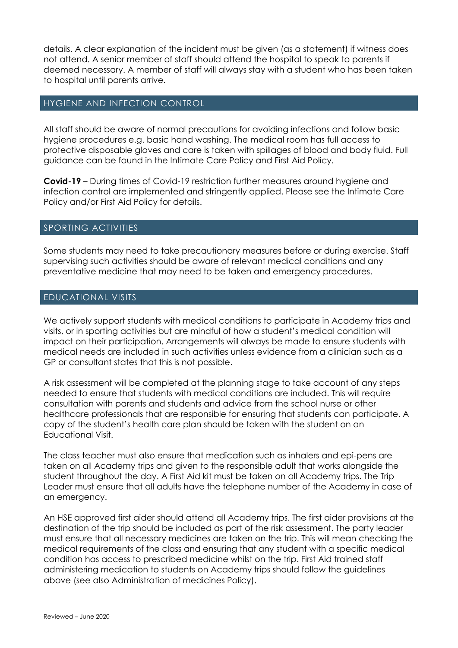details. A clear explanation of the incident must be given (as a statement) if witness does not attend. A senior member of staff should attend the hospital to speak to parents if deemed necessary. A member of staff will always stay with a student who has been taken to hospital until parents arrive.

#### HYGIENE AND INFECTION CONTROL

All staff should be aware of normal precautions for avoiding infections and follow basic hygiene procedures e.g. basic hand washing. The medical room has full access to protective disposable gloves and care is taken with spillages of blood and body fluid. Full guidance can be found in the Intimate Care Policy and First Aid Policy.

**Covid-19** – During times of Covid-19 restriction further measures around hygiene and infection control are implemented and stringently applied. Please see the Intimate Care Policy and/or First Aid Policy for details.

#### SPORTING ACTIVITIES

Some students may need to take precautionary measures before or during exercise. Staff supervising such activities should be aware of relevant medical conditions and any preventative medicine that may need to be taken and emergency procedures.

#### EDUCATIONAL VISITS

We actively support students with medical conditions to participate in Academy trips and visits, or in sporting activities but are mindful of how a student's medical condition will impact on their participation. Arrangements will always be made to ensure students with medical needs are included in such activities unless evidence from a clinician such as a GP or consultant states that this is not possible.

A risk assessment will be completed at the planning stage to take account of any steps needed to ensure that students with medical conditions are included. This will require consultation with parents and students and advice from the school nurse or other healthcare professionals that are responsible for ensuring that students can participate. A copy of the student's health care plan should be taken with the student on an Educational Visit.

The class teacher must also ensure that medication such as inhalers and epi-pens are taken on all Academy trips and given to the responsible adult that works alongside the student throughout the day. A First Aid kit must be taken on all Academy trips. The Trip Leader must ensure that all adults have the telephone number of the Academy in case of an emergency.

An HSE approved first aider should attend all Academy trips. The first aider provisions at the destination of the trip should be included as part of the risk assessment. The party leader must ensure that all necessary medicines are taken on the trip. This will mean checking the medical requirements of the class and ensuring that any student with a specific medical condition has access to prescribed medicine whilst on the trip. First Aid trained staff administering medication to students on Academy trips should follow the guidelines above (see also Administration of medicines Policy).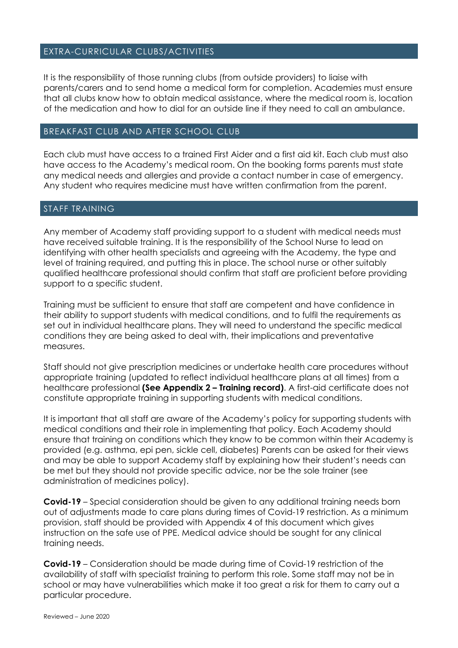#### EXTRA-CURRICULAR CLUBS/ACTIVITIES

It is the responsibility of those running clubs (from outside providers) to liaise with parents/carers and to send home a medical form for completion. Academies must ensure that all clubs know how to obtain medical assistance, where the medical room is, location of the medication and how to dial for an outside line if they need to call an ambulance.

#### BREAKFAST CLUB AND AFTER SCHOOL CLUB

Each club must have access to a trained First Aider and a first aid kit. Each club must also have access to the Academy's medical room. On the booking forms parents must state any medical needs and allergies and provide a contact number in case of emergency. Any student who requires medicine must have written confirmation from the parent.

#### STAFF TRAINING

Any member of Academy staff providing support to a student with medical needs must have received suitable training. It is the responsibility of the School Nurse to lead on identifying with other health specialists and agreeing with the Academy, the type and level of training required, and putting this in place. The school nurse or other suitably qualified healthcare professional should confirm that staff are proficient before providing support to a specific student.

Training must be sufficient to ensure that staff are competent and have confidence in their ability to support students with medical conditions, and to fulfil the requirements as set out in individual healthcare plans. They will need to understand the specific medical conditions they are being asked to deal with, their implications and preventative measures.

Staff should not give prescription medicines or undertake health care procedures without appropriate training (updated to reflect individual healthcare plans at all times) from a healthcare professional **(See Appendix 2 – Training record)**. A first-aid certificate does not constitute appropriate training in supporting students with medical conditions.

It is important that all staff are aware of the Academy's policy for supporting students with medical conditions and their role in implementing that policy. Each Academy should ensure that training on conditions which they know to be common within their Academy is provided (e.g. asthma, epi pen, sickle cell, diabetes) Parents can be asked for their views and may be able to support Academy staff by explaining how their student's needs can be met but they should not provide specific advice, nor be the sole trainer (see administration of medicines policy).

**Covid-19** – Special consideration should be given to any additional training needs born out of adjustments made to care plans during times of Covid-19 restriction. As a minimum provision, staff should be provided with Appendix 4 of this document which gives instruction on the safe use of PPE. Medical advice should be sought for any clinical training needs.

**Covid-19** – Consideration should be made during time of Covid-19 restriction of the availability of staff with specialist training to perform this role. Some staff may not be in school or may have vulnerabilities which make it too great a risk for them to carry out a particular procedure.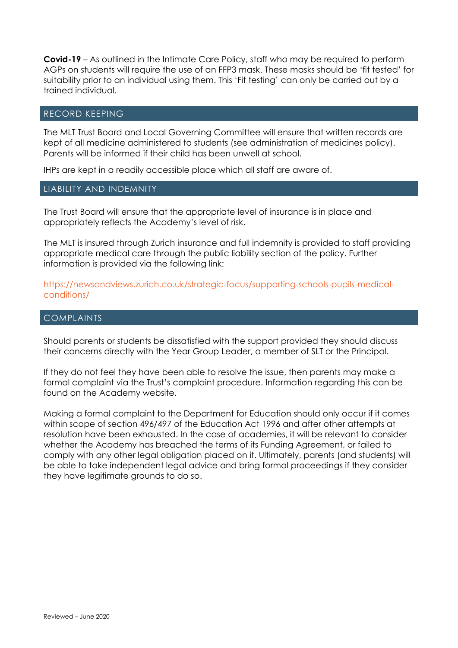**Covid-19** – As outlined in the Intimate Care Policy, staff who may be required to perform AGPs on students will require the use of an FFP3 mask. These masks should be 'fit tested' for suitability prior to an individual using them. This 'Fit testing' can only be carried out by a trained individual.

#### RECORD KEEPING

The MLT Trust Board and Local Governing Committee will ensure that written records are kept of all medicine administered to students (see administration of medicines policy). Parents will be informed if their child has been unwell at school.

IHPs are kept in a readily accessible place which all staff are aware of.

#### LIABILITY AND INDEMNITY

The Trust Board will ensure that the appropriate level of insurance is in place and appropriately reflects the Academy's level of risk.

The MLT is insured through Zurich insurance and full indemnity is provided to staff providing appropriate medical care through the public liability section of the policy. Further information is provided via the following link:

https://newsandviews.zurich.co.uk/strategic-focus/supporting-schools-pupils-medicalconditions/

#### COMPLAINTS

Should parents or students be dissatisfied with the support provided they should discuss their concerns directly with the Year Group Leader, a member of SLT or the Principal.

If they do not feel they have been able to resolve the issue, then parents may make a formal complaint via the Trust's complaint procedure. Information regarding this can be found on the Academy website.

Making a formal complaint to the Department for Education should only occur if it comes within scope of section 496/497 of the Education Act 1996 and after other attempts at resolution have been exhausted. In the case of academies, it will be relevant to consider whether the Academy has breached the terms of its Funding Agreement, or failed to comply with any other legal obligation placed on it. Ultimately, parents (and students) will be able to take independent legal advice and bring formal proceedings if they consider they have legitimate grounds to do so.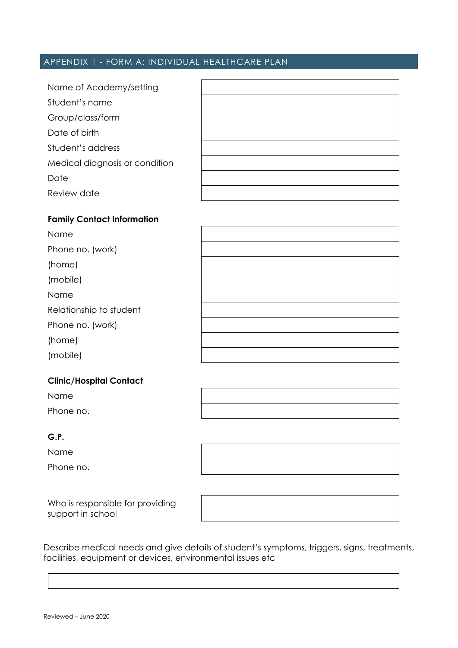### APPENDIX 1 - FORM A: INDIVIDUAL HEALTHCARE PLAN

| Name of Academy/setting        |  |
|--------------------------------|--|
| Student's name                 |  |
| Group/class/form               |  |
| Date of birth                  |  |
| Student's address              |  |
| Medical diagnosis or condition |  |
| Date                           |  |
| Review date                    |  |

#### **Family Contact Information**

| Name                    |  |
|-------------------------|--|
| Phone no. (work)        |  |
| (home)                  |  |
| (mobile)                |  |
| Name                    |  |
| Relationship to student |  |
| Phone no. (work)        |  |
| (home)                  |  |
| (mobile)                |  |

#### **Clinic/Hospital Contact**

Name Phone no.

#### **G.P.**

Name

Phone no.

Who is responsible for providing support in school

Describe medical needs and give details of student's symptoms, triggers, signs, treatments, facilities, equipment or devices, environmental issues etc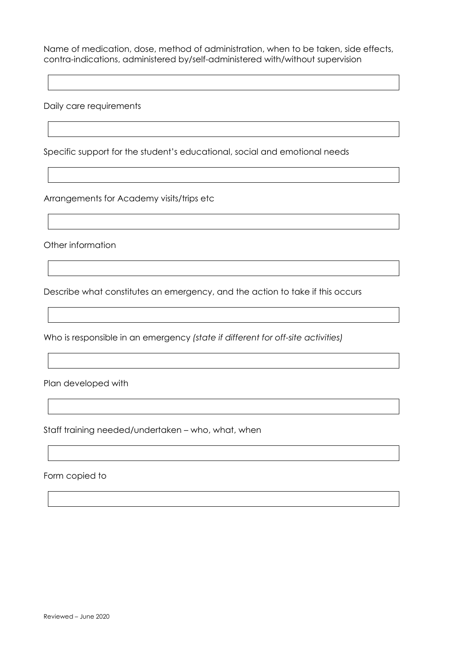Name of medication, dose, method of administration, when to be taken, side effects, contra-indications, administered by/self-administered with/without supervision

Daily care requirements

Specific support for the student's educational, social and emotional needs

Arrangements for Academy visits/trips etc

Other information

Describe what constitutes an emergency, and the action to take if this occurs

Who is responsible in an emergency *(state if different for off-site activities)*

Plan developed with

Staff training needed/undertaken – who, what, when

Form copied to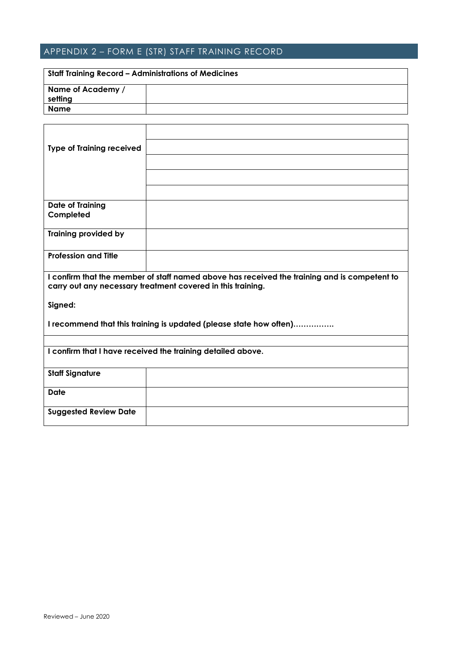## APPENDIX 2 – FORM E (STR) STAFF TRAINING RECORD

| Staff Training Record – Administrations of Medicines |  |  |
|------------------------------------------------------|--|--|
| Name of Academy /                                    |  |  |
| setting                                              |  |  |
| Name                                                 |  |  |

| <b>Type of Training received</b>                                                                                                                            |  |  |
|-------------------------------------------------------------------------------------------------------------------------------------------------------------|--|--|
|                                                                                                                                                             |  |  |
|                                                                                                                                                             |  |  |
|                                                                                                                                                             |  |  |
| <b>Date of Training</b>                                                                                                                                     |  |  |
| Completed                                                                                                                                                   |  |  |
| <b>Training provided by</b>                                                                                                                                 |  |  |
| <b>Profession and Title</b>                                                                                                                                 |  |  |
| I confirm that the member of staff named above has received the training and is competent to<br>carry out any necessary treatment covered in this training. |  |  |
| Signed:                                                                                                                                                     |  |  |
| I recommend that this training is updated (please state how often)                                                                                          |  |  |
|                                                                                                                                                             |  |  |
| I confirm that I have received the training detailed above.                                                                                                 |  |  |
| <b>Staff Signature</b>                                                                                                                                      |  |  |
| <b>Date</b>                                                                                                                                                 |  |  |
| <b>Suggested Review Date</b>                                                                                                                                |  |  |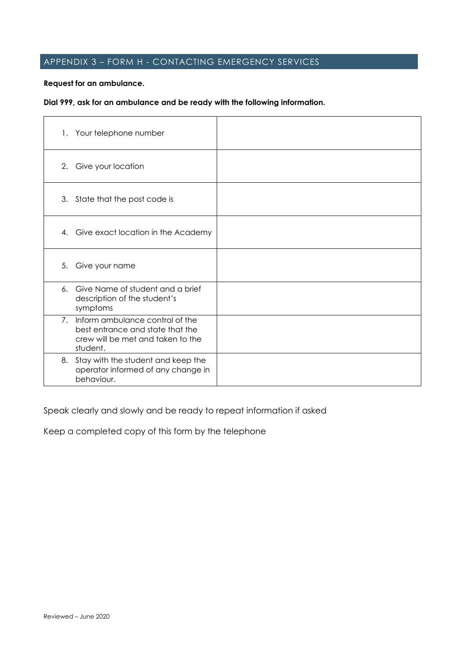## APPENDIX 3 – FORM H - CONTACTING EMERGENCY SERVICES

#### **Request for an ambulance.**

#### **Dial 999, ask for an ambulance and be ready with the following information.**

| 1. Your telephone number                                                                                                |  |
|-------------------------------------------------------------------------------------------------------------------------|--|
| 2. Give your location                                                                                                   |  |
| 3. State that the post code is                                                                                          |  |
| Give exact location in the Academy<br>4.                                                                                |  |
| 5.<br>Give your name                                                                                                    |  |
| 6. Give Name of student and a brief<br>description of the student's<br>symptoms                                         |  |
| 7. Inform ambulance control of the<br>best entrance and state that the<br>crew will be met and taken to the<br>student. |  |
| 8. Stay with the student and keep the<br>operator informed of any change in<br>behaviour.                               |  |

Speak clearly and slowly and be ready to repeat information if asked

Keep a completed copy of this form by the telephone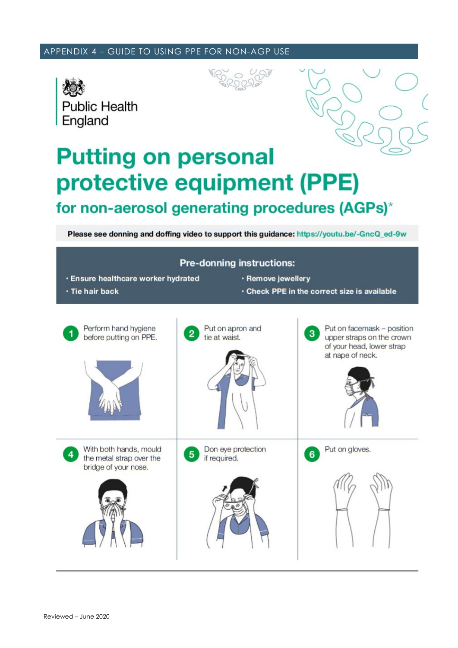#### APPENDIX 4 – GUIDE TO USING PPE FOR NON-AGP USE







# **Putting on personal** protective equipment (PPE) for non-aerosol generating procedures (AGPs)\*

Please see donning and doffing video to support this guidance: https://youtu.be/-GncQ\_ed-9w